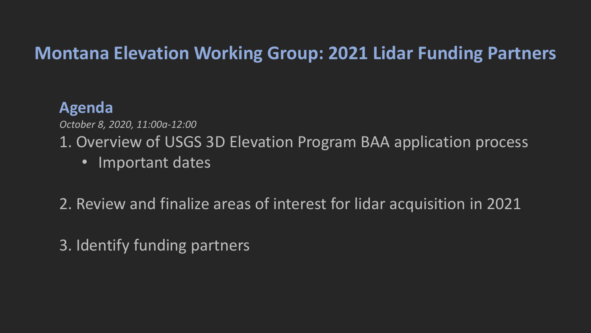#### **Montana Elevation Working Group: 2021 Lidar Funding Partners**

#### **Agenda**

*October 8, 2020, 11:00a-12:00*

1. Overview of USGS 3D Elevation Program BAA application process

• Important dates

2. Review and finalize areas of interest for lidar acquisition in 2021

3. Identify funding partners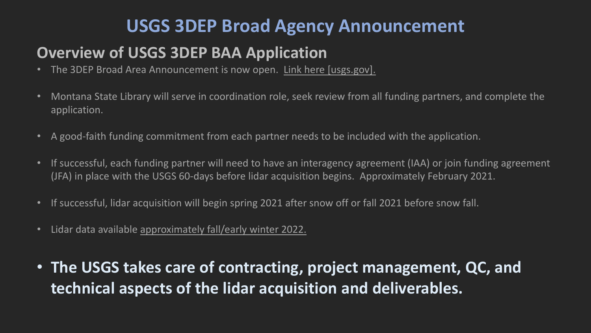### **USGS 3DEP Broad Agency Announcement**

#### **Overview of USGS 3DEP BAA Application**

- The 3DEP Broad Area Announcement is now open. [Link here \[usgs.gov\].](https://urldefense.com/v3/__https:/www.usgs.gov/core-science-systems/ngp/3dep/fy2021-usgs-broad-agency-announcement-baa?qt-science_support_page_related_con=0*qt-science_support_page_related_con__;Iw!!GaaboA!9884nYdXvs8aQcACEzGpS6Cz9CHBrW8WNRRleWlj24wvi9JhJnmrfz6LlPz-s4G3-g$)
- Montana State Library will serve in coordination role, seek review from all funding partners, and complete the application.
- A good-faith funding commitment from each partner needs to be included with the application.
- If successful, each funding partner will need to have an interagency agreement (IAA) or join funding agreement (JFA) in place with the USGS 60-days before lidar acquisition begins. Approximately February 2021.
- If successful, lidar acquisition will begin spring 2021 after snow off or fall 2021 before snow fall.
- Lidar data available approximately fall/early winter 2022.
- **The USGS takes care of contracting, project management, QC, and technical aspects of the lidar acquisition and deliverables.**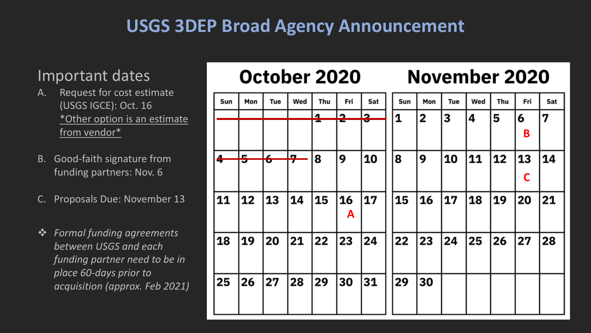### **USGS 3DEP Broad Agency Announcement**

#### Important dates

- A. Request for cost estimate (USGS IGCE): Oct. 16 \*Other option is an estimate from vendor\*
- B. Good-faith signature from funding partners: Nov. 6
- Proposals Due: November 13
- *Formal funding agreements between USGS and each funding partner need to be in place 60-days prior to acquisition (approx. Feb 2021)*

## October 2020

#### Mon Tue Wed Thu Fri Sat Sun Mon Tue Wed Thu Fri Sat Sun  $\overline{a}$  $\bullet$  $\sim$  $\overline{\mathbf{1}}$  $\overline{2}$ 13 14 5 6 7 **B** <u>lm</u>  $\blacksquare$ 8 9 |10 8 9 |10 |11 13 14 12 ÷ **TO D C**16 20 13 14 15 17 15 |17 11  $12$ **16** 18 19 21 **A** 21 18 19 20 22 23 |24 22 |23 |24 **25** 26 27 28 25 26 27 28 |29 30 |31 29 30

**November 2020**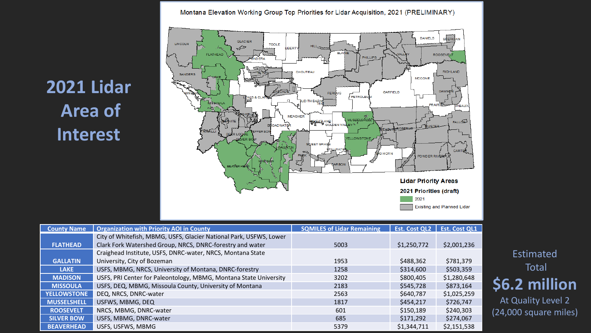Montana Elevation Working Group Top Priorities for Lidar Acquisition, 2021 (PRELIMINARY)

## **2021 Lidar Area of Interest**



| <b>County Name</b> | <b>Organization with Priority AOI in County</b>                    | <b>SQMILES of Lidar Remaining</b> | <b>Est. Cost QL2</b> | <b>Est. Cost QL1</b> |
|--------------------|--------------------------------------------------------------------|-----------------------------------|----------------------|----------------------|
|                    | City of Whitefish, MBMG, USFS, Glacier National Park, USFWS, Lower |                                   |                      |                      |
| <b>FLATHEAD</b>    | Clark Fork Watershed Group, NRCS, DNRC-forestry and water          | 5003                              | \$1,250,772          | \$2,001,236          |
|                    | Craighead Institute, USFS, DNRC-water, NRCS, Montana State         |                                   |                      |                      |
| <b>GALLATIN</b>    | University, City of Bozeman                                        | 1953                              | \$488,362            | \$781,379            |
| <b>LAKE</b>        | USFS, MBMG, NRCS, University of Montana, DNRC-forestry             | 1258                              | \$314,600            | \$503,359            |
| <b>MADISON</b>     | USFS, PRI Center for Paleontology, MBMG, Montana State University  | 3202                              | \$800,405            | \$1,280,648          |
| <b>MISSOULA</b>    | USFS, DEQ, MBMG, Missoula County, University of Montana            | 2183                              | \$545,728            | \$873,164            |
| <b>YELLOWSTONE</b> | DEQ, NRCS, DNRC-water                                              | 2563                              | \$640,787            | \$1,025,259          |
| <b>MUSSELSHELL</b> | USFWS, MBMG, DEQ                                                   | 1817                              | \$454,217            | \$726,747            |
| <b>ROOSEVELT</b>   | NRCS, MBMG, DNRC-water                                             | 601                               | \$150,189            | \$240,303            |
| <b>SILVER BOW</b>  | USFS, MBMG, DNRC-water                                             | 685                               | \$171,292            | \$274,067            |
| <b>BEAVERHEAD</b>  | USFS, USFWS, MBMG                                                  | 5379                              | \$1,344,711          | \$2,151,538          |

Estimated Total **\$6.2 million**

At Quality Level 2 (24,000 square miles)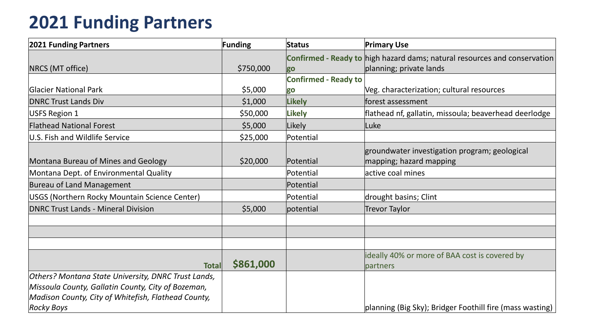## **2021 Funding Partners**

| <b>2021 Funding Partners</b>                        | <b>Funding</b> | <b>Status</b>               | <b>Primary Use</b>                                                        |
|-----------------------------------------------------|----------------|-----------------------------|---------------------------------------------------------------------------|
|                                                     |                |                             | Confirmed - Ready to high hazard dams; natural resources and conservation |
| NRCS (MT office)                                    | \$750,000      | go                          | planning; private lands                                                   |
|                                                     |                | <b>Confirmed - Ready to</b> |                                                                           |
| <b>Glacier National Park</b>                        | \$5,000        | go                          | Veg. characterization; cultural resources                                 |
| <b>DNRC Trust Lands Div</b>                         | \$1,000        | <b>Likely</b>               | forest assessment                                                         |
| <b>USFS Region 1</b>                                | \$50,000       | <b>Likely</b>               | flathead nf, gallatin, missoula; beaverhead deerlodge                     |
| <b>Flathead National Forest</b>                     | \$5,000        | Likely                      | Luke                                                                      |
| U.S. Fish and Wildlife Service                      | \$25,000       | Potential                   |                                                                           |
| Montana Bureau of Mines and Geology                 | \$20,000       | Potential                   | groundwater investigation program; geological<br>mapping; hazard mapping  |
| Montana Dept. of Environmental Quality              |                | Potential                   | active coal mines                                                         |
| <b>Bureau of Land Management</b>                    |                | Potential                   |                                                                           |
| USGS (Northern Rocky Mountain Science Center)       |                | Potential                   | drought basins; Clint                                                     |
| <b>DNRC Trust Lands - Mineral Division</b>          | \$5,000        | potential                   | <b>Trevor Taylor</b>                                                      |
|                                                     |                |                             |                                                                           |
|                                                     |                |                             |                                                                           |
|                                                     |                |                             |                                                                           |
| <b>Total</b>                                        | \$861,000      |                             | ideally 40% or more of BAA cost is covered by<br>partners                 |
| Others? Montana State University, DNRC Trust Lands, |                |                             |                                                                           |
| Missoula County, Gallatin County, City of Bozeman,  |                |                             |                                                                           |
| Madison County, City of Whitefish, Flathead County, |                |                             |                                                                           |
| <b>Rocky Boys</b>                                   |                |                             | planning (Big Sky); Bridger Foothill fire (mass wasting)                  |